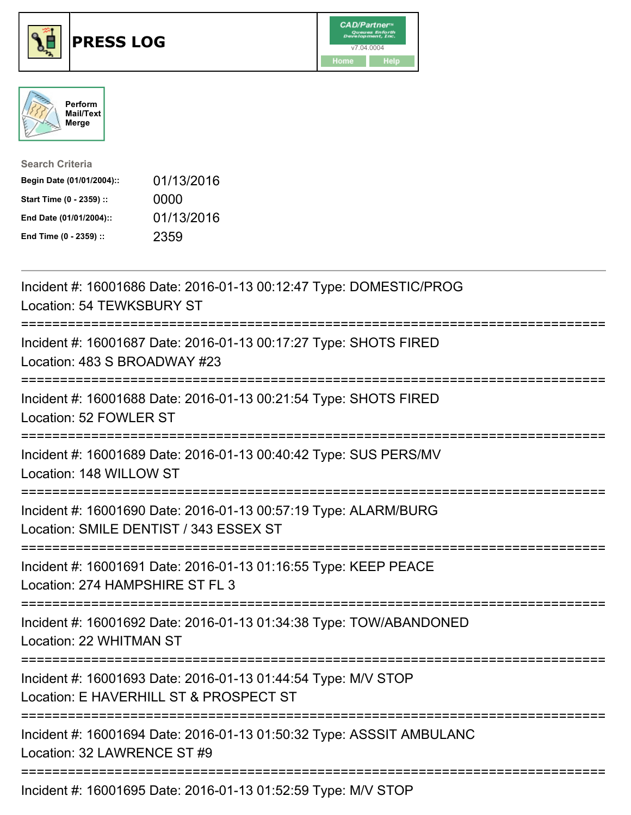





| <b>Search Criteria</b>    |            |
|---------------------------|------------|
| Begin Date (01/01/2004):: | 01/13/2016 |
| Start Time (0 - 2359) ::  | 0000       |
| End Date (01/01/2004)::   | 01/13/2016 |
| End Time (0 - 2359) ::    | 2359       |

| Incident #: 16001686 Date: 2016-01-13 00:12:47 Type: DOMESTIC/PROG<br>Location: 54 TEWKSBURY ST                                           |
|-------------------------------------------------------------------------------------------------------------------------------------------|
| Incident #: 16001687 Date: 2016-01-13 00:17:27 Type: SHOTS FIRED<br>Location: 483 S BROADWAY #23<br>===========                           |
| Incident #: 16001688 Date: 2016-01-13 00:21:54 Type: SHOTS FIRED<br>Location: 52 FOWLER ST                                                |
| Incident #: 16001689 Date: 2016-01-13 00:40:42 Type: SUS PERS/MV<br>Location: 148 WILLOW ST<br>===================                        |
| Incident #: 16001690 Date: 2016-01-13 00:57:19 Type: ALARM/BURG<br>Location: SMILE DENTIST / 343 ESSEX ST<br>:=========================== |
| Incident #: 16001691 Date: 2016-01-13 01:16:55 Type: KEEP PEACE<br>Location: 274 HAMPSHIRE ST FL 3                                        |
| Incident #: 16001692 Date: 2016-01-13 01:34:38 Type: TOW/ABANDONED<br>Location: 22 WHITMAN ST                                             |
| Incident #: 16001693 Date: 2016-01-13 01:44:54 Type: M/V STOP<br>Location: E HAVERHILL ST & PROSPECT ST                                   |
| Incident #: 16001694 Date: 2016-01-13 01:50:32 Type: ASSSIT AMBULANC<br>Location: 32 LAWRENCE ST #9                                       |
| Incident #: 16001695 Date: 2016-01-13 01:52:59 Type: M/V STOP                                                                             |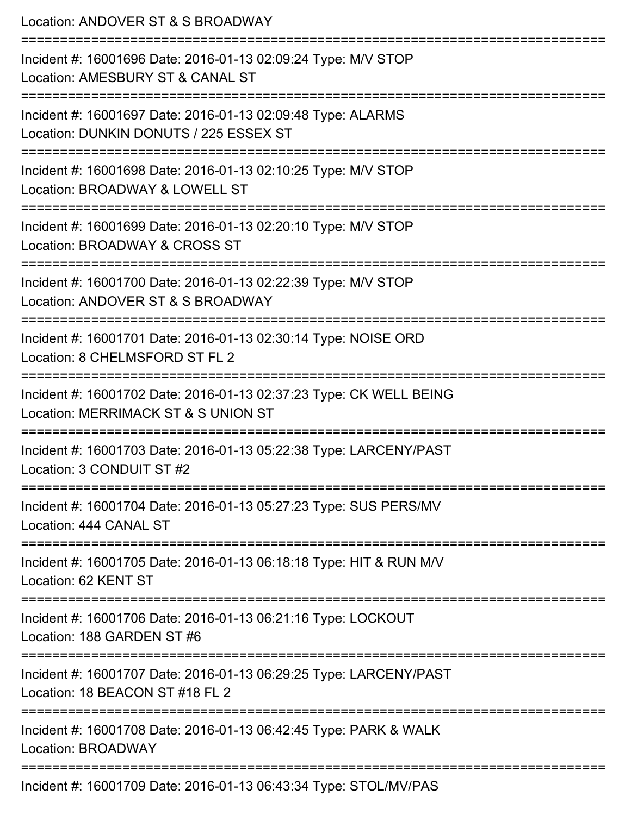| Location: ANDOVER ST & S BROADWAY                                                                                                  |
|------------------------------------------------------------------------------------------------------------------------------------|
| Incident #: 16001696 Date: 2016-01-13 02:09:24 Type: M/V STOP<br>Location: AMESBURY ST & CANAL ST                                  |
| Incident #: 16001697 Date: 2016-01-13 02:09:48 Type: ALARMS<br>Location: DUNKIN DONUTS / 225 ESSEX ST                              |
| Incident #: 16001698 Date: 2016-01-13 02:10:25 Type: M/V STOP<br>Location: BROADWAY & LOWELL ST<br>------------------------        |
| Incident #: 16001699 Date: 2016-01-13 02:20:10 Type: M/V STOP<br>Location: BROADWAY & CROSS ST                                     |
| Incident #: 16001700 Date: 2016-01-13 02:22:39 Type: M/V STOP<br>Location: ANDOVER ST & S BROADWAY                                 |
| Incident #: 16001701 Date: 2016-01-13 02:30:14 Type: NOISE ORD<br>Location: 8 CHELMSFORD ST FL 2                                   |
| Incident #: 16001702 Date: 2016-01-13 02:37:23 Type: CK WELL BEING<br>Location: MERRIMACK ST & S UNION ST<br>--------------------- |
| Incident #: 16001703 Date: 2016-01-13 05:22:38 Type: LARCENY/PAST<br>Location: 3 CONDUIT ST #2                                     |
| Incident #: 16001704 Date: 2016-01-13 05:27:23 Type: SUS PERS/MV<br>Location: 444 CANAL ST                                         |
| Incident #: 16001705 Date: 2016-01-13 06:18:18 Type: HIT & RUN M/V<br>Location: 62 KENT ST                                         |
| Incident #: 16001706 Date: 2016-01-13 06:21:16 Type: LOCKOUT<br>Location: 188 GARDEN ST #6                                         |
| Incident #: 16001707 Date: 2016-01-13 06:29:25 Type: LARCENY/PAST<br>Location: 18 BEACON ST #18 FL 2                               |
| Incident #: 16001708 Date: 2016-01-13 06:42:45 Type: PARK & WALK<br>Location: BROADWAY                                             |
| Incident #: 16001709 Date: 2016-01-13 06:43:34 Type: STOL/MV/PAS                                                                   |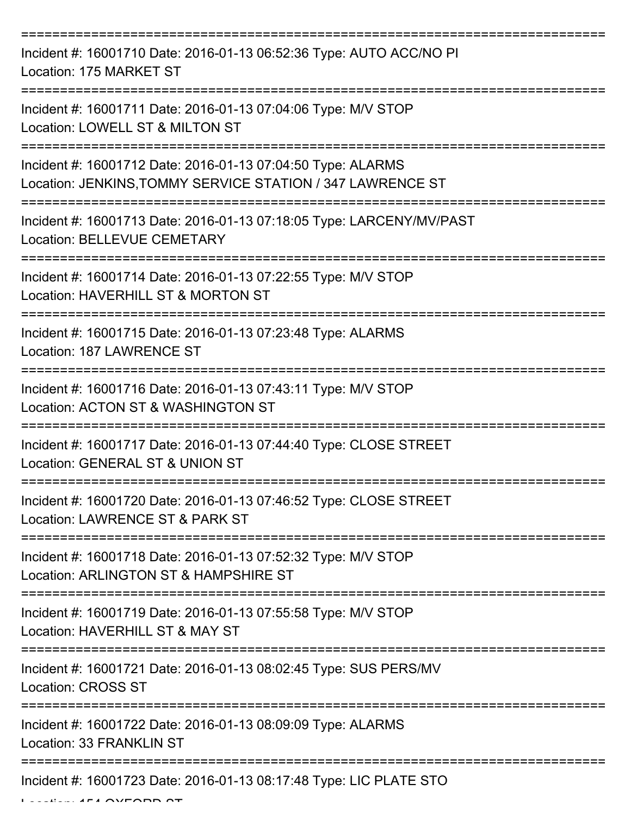| Incident #: 16001710 Date: 2016-01-13 06:52:36 Type: AUTO ACC/NO PI<br>Location: 175 MARKET ST                            |
|---------------------------------------------------------------------------------------------------------------------------|
| Incident #: 16001711 Date: 2016-01-13 07:04:06 Type: M/V STOP<br>Location: LOWELL ST & MILTON ST                          |
| Incident #: 16001712 Date: 2016-01-13 07:04:50 Type: ALARMS<br>Location: JENKINS, TOMMY SERVICE STATION / 347 LAWRENCE ST |
| Incident #: 16001713 Date: 2016-01-13 07:18:05 Type: LARCENY/MV/PAST<br><b>Location: BELLEVUE CEMETARY</b>                |
| Incident #: 16001714 Date: 2016-01-13 07:22:55 Type: M/V STOP<br>Location: HAVERHILL ST & MORTON ST                       |
| Incident #: 16001715 Date: 2016-01-13 07:23:48 Type: ALARMS<br>Location: 187 LAWRENCE ST                                  |
| Incident #: 16001716 Date: 2016-01-13 07:43:11 Type: M/V STOP<br>Location: ACTON ST & WASHINGTON ST                       |
| Incident #: 16001717 Date: 2016-01-13 07:44:40 Type: CLOSE STREET<br>Location: GENERAL ST & UNION ST                      |
| Incident #: 16001720 Date: 2016-01-13 07:46:52 Type: CLOSE STREET<br>Location: LAWRENCE ST & PARK ST                      |
| Incident #: 16001718 Date: 2016-01-13 07:52:32 Type: M/V STOP<br>Location: ARLINGTON ST & HAMPSHIRE ST                    |
| Incident #: 16001719 Date: 2016-01-13 07:55:58 Type: M/V STOP<br>Location: HAVERHILL ST & MAY ST                          |
| Incident #: 16001721 Date: 2016-01-13 08:02:45 Type: SUS PERS/MV<br><b>Location: CROSS ST</b>                             |
| Incident #: 16001722 Date: 2016-01-13 08:09:09 Type: ALARMS<br>Location: 33 FRANKLIN ST                                   |
| Incident #: 16001723 Date: 2016-01-13 08:17:48 Type: LIC PLATE STO                                                        |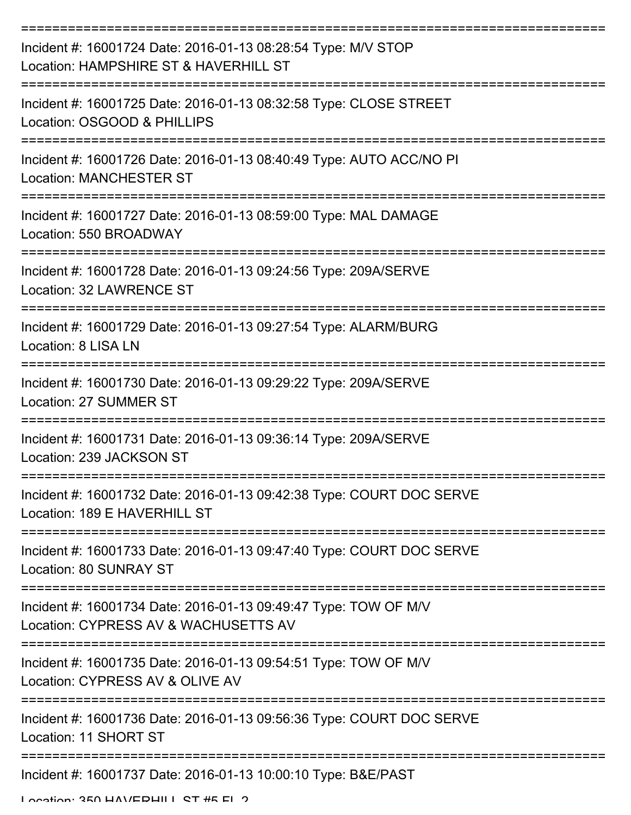| Incident #: 16001724 Date: 2016-01-13 08:28:54 Type: M/V STOP<br>Location: HAMPSHIRE ST & HAVERHILL ST  |
|---------------------------------------------------------------------------------------------------------|
| Incident #: 16001725 Date: 2016-01-13 08:32:58 Type: CLOSE STREET<br>Location: OSGOOD & PHILLIPS        |
| Incident #: 16001726 Date: 2016-01-13 08:40:49 Type: AUTO ACC/NO PI<br><b>Location: MANCHESTER ST</b>   |
| Incident #: 16001727 Date: 2016-01-13 08:59:00 Type: MAL DAMAGE<br>Location: 550 BROADWAY               |
| Incident #: 16001728 Date: 2016-01-13 09:24:56 Type: 209A/SERVE<br>Location: 32 LAWRENCE ST             |
| Incident #: 16001729 Date: 2016-01-13 09:27:54 Type: ALARM/BURG<br>Location: 8 LISA LN                  |
| Incident #: 16001730 Date: 2016-01-13 09:29:22 Type: 209A/SERVE<br><b>Location: 27 SUMMER ST</b>        |
| Incident #: 16001731 Date: 2016-01-13 09:36:14 Type: 209A/SERVE<br>Location: 239 JACKSON ST             |
| Incident #: 16001732 Date: 2016-01-13 09:42:38 Type: COURT DOC SERVE<br>Location: 189 E HAVERHILL ST    |
| Incident #: 16001733 Date: 2016-01-13 09:47:40 Type: COURT DOC SERVE<br>Location: 80 SUNRAY ST          |
| Incident #: 16001734 Date: 2016-01-13 09:49:47 Type: TOW OF M/V<br>Location: CYPRESS AV & WACHUSETTS AV |
| Incident #: 16001735 Date: 2016-01-13 09:54:51 Type: TOW OF M/V<br>Location: CYPRESS AV & OLIVE AV      |
| Incident #: 16001736 Date: 2016-01-13 09:56:36 Type: COURT DOC SERVE<br>Location: 11 SHORT ST           |
| Incident #: 16001737 Date: 2016-01-13 10:00:10 Type: B&E/PAST<br>Location: 250 HAV/EDHILL CT #5 EL 2    |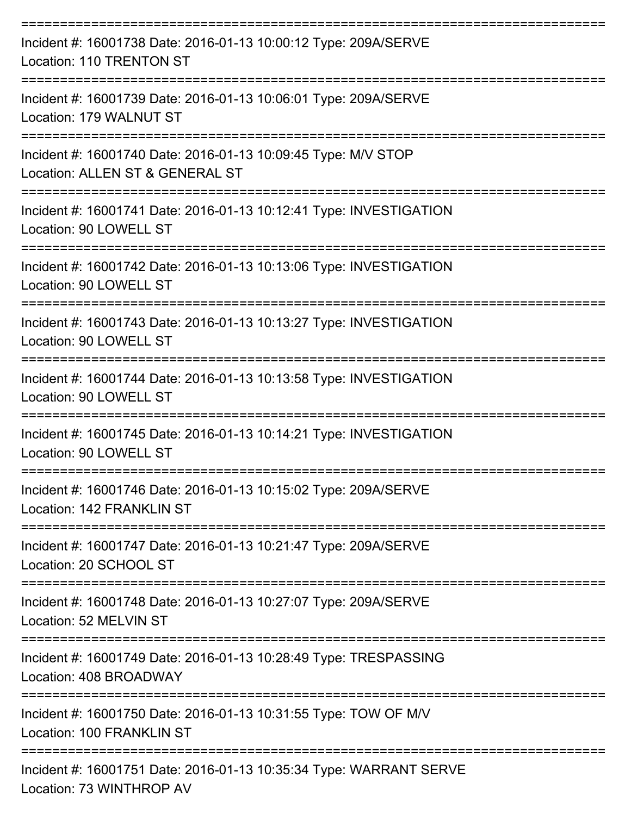| Incident #: 16001738 Date: 2016-01-13 10:00:12 Type: 209A/SERVE<br>Location: 110 TRENTON ST                          |
|----------------------------------------------------------------------------------------------------------------------|
| Incident #: 16001739 Date: 2016-01-13 10:06:01 Type: 209A/SERVE<br>Location: 179 WALNUT ST                           |
| Incident #: 16001740 Date: 2016-01-13 10:09:45 Type: M/V STOP<br>Location: ALLEN ST & GENERAL ST                     |
| Incident #: 16001741 Date: 2016-01-13 10:12:41 Type: INVESTIGATION<br>Location: 90 LOWELL ST                         |
| -------------------<br>Incident #: 16001742 Date: 2016-01-13 10:13:06 Type: INVESTIGATION<br>Location: 90 LOWELL ST  |
| Incident #: 16001743 Date: 2016-01-13 10:13:27 Type: INVESTIGATION<br>Location: 90 LOWELL ST                         |
| ====================<br>Incident #: 16001744 Date: 2016-01-13 10:13:58 Type: INVESTIGATION<br>Location: 90 LOWELL ST |
| Incident #: 16001745 Date: 2016-01-13 10:14:21 Type: INVESTIGATION<br>Location: 90 LOWELL ST                         |
| Incident #: 16001746 Date: 2016-01-13 10:15:02 Type: 209A/SERVE<br>Location: 142 FRANKLIN ST                         |
| Incident #: 16001747 Date: 2016-01-13 10:21:47 Type: 209A/SERVE<br>Location: 20 SCHOOL ST                            |
| Incident #: 16001748 Date: 2016-01-13 10:27:07 Type: 209A/SERVE<br>Location: 52 MELVIN ST                            |
| Incident #: 16001749 Date: 2016-01-13 10:28:49 Type: TRESPASSING<br>Location: 408 BROADWAY                           |
| Incident #: 16001750 Date: 2016-01-13 10:31:55 Type: TOW OF M/V<br>Location: 100 FRANKLIN ST                         |
| Incident #: 16001751 Date: 2016-01-13 10:35:34 Type: WARRANT SERVE                                                   |

Location: 73 WINTHROP AV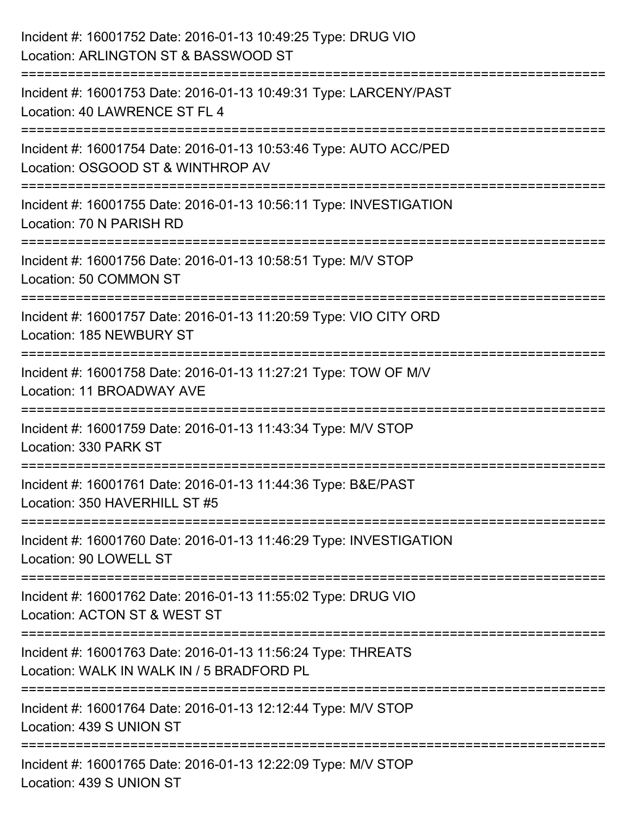| Incident #: 16001752 Date: 2016-01-13 10:49:25 Type: DRUG VIO<br>Location: ARLINGTON ST & BASSWOOD ST                            |
|----------------------------------------------------------------------------------------------------------------------------------|
| =======================<br>Incident #: 16001753 Date: 2016-01-13 10:49:31 Type: LARCENY/PAST<br>Location: 40 LAWRENCE ST FL 4    |
| Incident #: 16001754 Date: 2016-01-13 10:53:46 Type: AUTO ACC/PED<br>Location: OSGOOD ST & WINTHROP AV<br>====================== |
| Incident #: 16001755 Date: 2016-01-13 10:56:11 Type: INVESTIGATION<br>Location: 70 N PARISH RD                                   |
| Incident #: 16001756 Date: 2016-01-13 10:58:51 Type: M/V STOP<br>Location: 50 COMMON ST                                          |
| Incident #: 16001757 Date: 2016-01-13 11:20:59 Type: VIO CITY ORD<br>Location: 185 NEWBURY ST                                    |
| Incident #: 16001758 Date: 2016-01-13 11:27:21 Type: TOW OF M/V<br>Location: 11 BROADWAY AVE                                     |
| Incident #: 16001759 Date: 2016-01-13 11:43:34 Type: M/V STOP<br>Location: 330 PARK ST                                           |
| Incident #: 16001761 Date: 2016-01-13 11:44:36 Type: B&E/PAST<br>Location: 350 HAVERHILL ST #5                                   |
| Incident #: 16001760 Date: 2016-01-13 11:46:29 Type: INVESTIGATION<br>Location: 90 LOWELL ST                                     |
| Incident #: 16001762 Date: 2016-01-13 11:55:02 Type: DRUG VIO<br>Location: ACTON ST & WEST ST                                    |
| Incident #: 16001763 Date: 2016-01-13 11:56:24 Type: THREATS<br>Location: WALK IN WALK IN / 5 BRADFORD PL                        |
| Incident #: 16001764 Date: 2016-01-13 12:12:44 Type: M/V STOP<br>Location: 439 S UNION ST                                        |
| Incident #: 16001765 Date: 2016-01-13 12:22:09 Type: M/V STOP<br>Location: 439 S UNION ST                                        |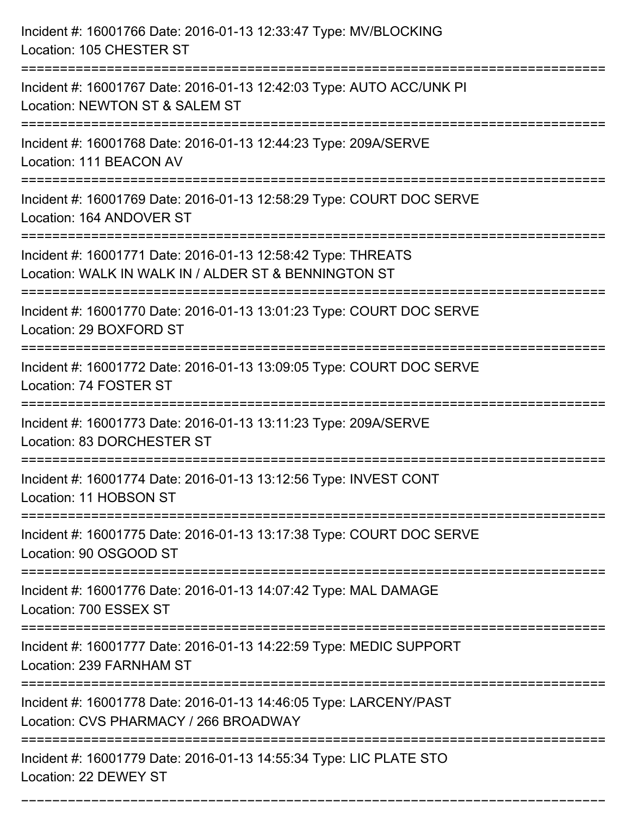| Incident #: 16001766 Date: 2016-01-13 12:33:47 Type: MV/BLOCKING<br>Location: 105 CHESTER ST                                                    |
|-------------------------------------------------------------------------------------------------------------------------------------------------|
| Incident #: 16001767 Date: 2016-01-13 12:42:03 Type: AUTO ACC/UNK PI<br>Location: NEWTON ST & SALEM ST                                          |
| Incident #: 16001768 Date: 2016-01-13 12:44:23 Type: 209A/SERVE<br>Location: 111 BEACON AV                                                      |
| Incident #: 16001769 Date: 2016-01-13 12:58:29 Type: COURT DOC SERVE<br>Location: 164 ANDOVER ST                                                |
| Incident #: 16001771 Date: 2016-01-13 12:58:42 Type: THREATS<br>Location: WALK IN WALK IN / ALDER ST & BENNINGTON ST<br>======================= |
| Incident #: 16001770 Date: 2016-01-13 13:01:23 Type: COURT DOC SERVE<br>Location: 29 BOXFORD ST                                                 |
| Incident #: 16001772 Date: 2016-01-13 13:09:05 Type: COURT DOC SERVE<br>Location: 74 FOSTER ST<br>-----------------------------------           |
| Incident #: 16001773 Date: 2016-01-13 13:11:23 Type: 209A/SERVE<br>Location: 83 DORCHESTER ST                                                   |
| Incident #: 16001774 Date: 2016-01-13 13:12:56 Type: INVEST CONT<br>Location: 11 HOBSON ST                                                      |
| Incident #: 16001775 Date: 2016-01-13 13:17:38 Type: COURT DOC SERVE<br>Location: 90 OSGOOD ST                                                  |
| Incident #: 16001776 Date: 2016-01-13 14:07:42 Type: MAL DAMAGE<br>Location: 700 ESSEX ST                                                       |
| Incident #: 16001777 Date: 2016-01-13 14:22:59 Type: MEDIC SUPPORT<br>Location: 239 FARNHAM ST                                                  |
| Incident #: 16001778 Date: 2016-01-13 14:46:05 Type: LARCENY/PAST<br>Location: CVS PHARMACY / 266 BROADWAY                                      |
| Incident #: 16001779 Date: 2016-01-13 14:55:34 Type: LIC PLATE STO<br>Location: 22 DEWEY ST                                                     |

===========================================================================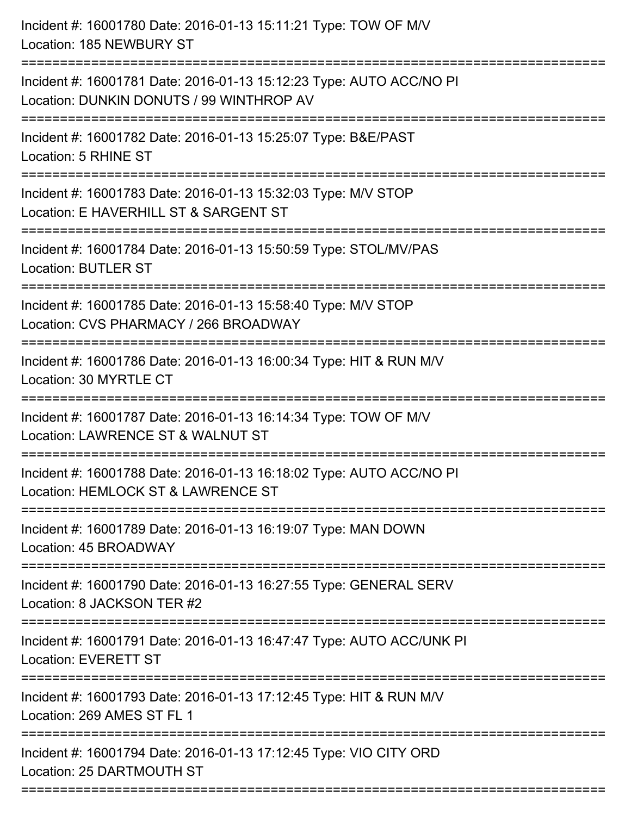| Incident #: 16001780 Date: 2016-01-13 15:11:21 Type: TOW OF M/V<br>Location: 185 NEWBURY ST                                         |
|-------------------------------------------------------------------------------------------------------------------------------------|
| Incident #: 16001781 Date: 2016-01-13 15:12:23 Type: AUTO ACC/NO PI<br>Location: DUNKIN DONUTS / 99 WINTHROP AV                     |
| Incident #: 16001782 Date: 2016-01-13 15:25:07 Type: B&E/PAST<br>Location: 5 RHINE ST                                               |
| Incident #: 16001783 Date: 2016-01-13 15:32:03 Type: M/V STOP<br>Location: E HAVERHILL ST & SARGENT ST                              |
| Incident #: 16001784 Date: 2016-01-13 15:50:59 Type: STOL/MV/PAS<br><b>Location: BUTLER ST</b>                                      |
| Incident #: 16001785 Date: 2016-01-13 15:58:40 Type: M/V STOP<br>Location: CVS PHARMACY / 266 BROADWAY                              |
| Incident #: 16001786 Date: 2016-01-13 16:00:34 Type: HIT & RUN M/V<br>Location: 30 MYRTLE CT                                        |
| Incident #: 16001787 Date: 2016-01-13 16:14:34 Type: TOW OF M/V<br>Location: LAWRENCE ST & WALNUT ST                                |
| Incident #: 16001788 Date: 2016-01-13 16:18:02 Type: AUTO ACC/NO PI<br>Location: HEMLOCK ST & LAWRENCE ST                           |
| Incident #: 16001789 Date: 2016-01-13 16:19:07 Type: MAN DOWN<br>Location: 45 BROADWAY                                              |
| ================================<br>Incident #: 16001790 Date: 2016-01-13 16:27:55 Type: GENERAL SERV<br>Location: 8 JACKSON TER #2 |
| Incident #: 16001791 Date: 2016-01-13 16:47:47 Type: AUTO ACC/UNK PI<br><b>Location: EVERETT ST</b>                                 |
| Incident #: 16001793 Date: 2016-01-13 17:12:45 Type: HIT & RUN M/V<br>Location: 269 AMES ST FL 1                                    |
| Incident #: 16001794 Date: 2016-01-13 17:12:45 Type: VIO CITY ORD<br>Location: 25 DARTMOUTH ST                                      |
|                                                                                                                                     |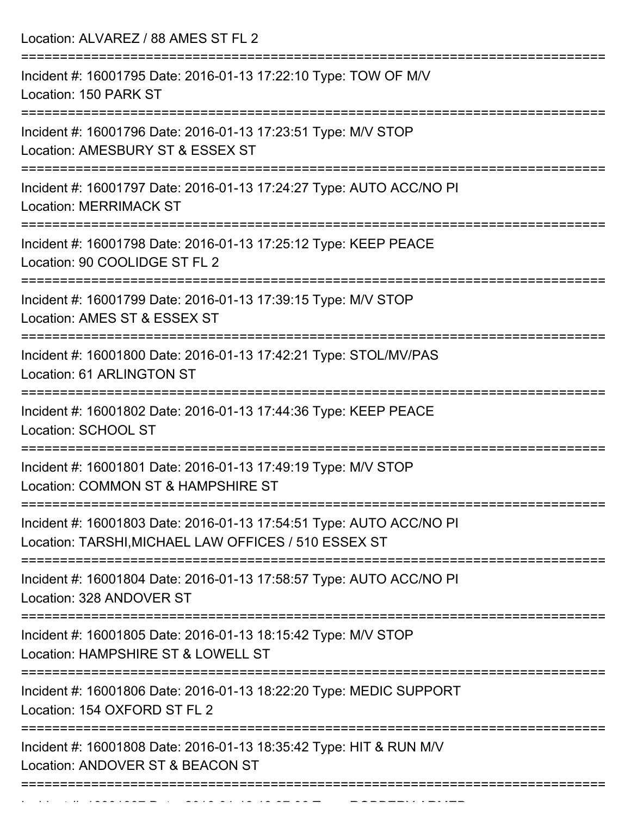Location: ALVAREZ / 88 AMES ST FL 2

| Incident #: 16001795 Date: 2016-01-13 17:22:10 Type: TOW OF M/V<br>Location: 150 PARK ST                                    |
|-----------------------------------------------------------------------------------------------------------------------------|
| Incident #: 16001796 Date: 2016-01-13 17:23:51 Type: M/V STOP<br>Location: AMESBURY ST & ESSEX ST                           |
| Incident #: 16001797 Date: 2016-01-13 17:24:27 Type: AUTO ACC/NO PI<br><b>Location: MERRIMACK ST</b>                        |
| Incident #: 16001798 Date: 2016-01-13 17:25:12 Type: KEEP PEACE<br>Location: 90 COOLIDGE ST FL 2                            |
| Incident #: 16001799 Date: 2016-01-13 17:39:15 Type: M/V STOP<br>Location: AMES ST & ESSEX ST                               |
| Incident #: 16001800 Date: 2016-01-13 17:42:21 Type: STOL/MV/PAS<br>Location: 61 ARLINGTON ST                               |
| Incident #: 16001802 Date: 2016-01-13 17:44:36 Type: KEEP PEACE<br>Location: SCHOOL ST                                      |
| Incident #: 16001801 Date: 2016-01-13 17:49:19 Type: M/V STOP<br>Location: COMMON ST & HAMPSHIRE ST                         |
| Incident #: 16001803 Date: 2016-01-13 17:54:51 Type: AUTO ACC/NO PI<br>Location: TARSHI, MICHAEL LAW OFFICES / 510 ESSEX ST |
| Incident #: 16001804 Date: 2016-01-13 17:58:57 Type: AUTO ACC/NO PI<br>Location: 328 ANDOVER ST                             |
| Incident #: 16001805 Date: 2016-01-13 18:15:42 Type: M/V STOP<br>Location: HAMPSHIRE ST & LOWELL ST                         |
| Incident #: 16001806 Date: 2016-01-13 18:22:20 Type: MEDIC SUPPORT<br>Location: 154 OXFORD ST FL 2                          |
| Incident #: 16001808 Date: 2016-01-13 18:35:42 Type: HIT & RUN M/V<br>Location: ANDOVER ST & BEACON ST                      |
|                                                                                                                             |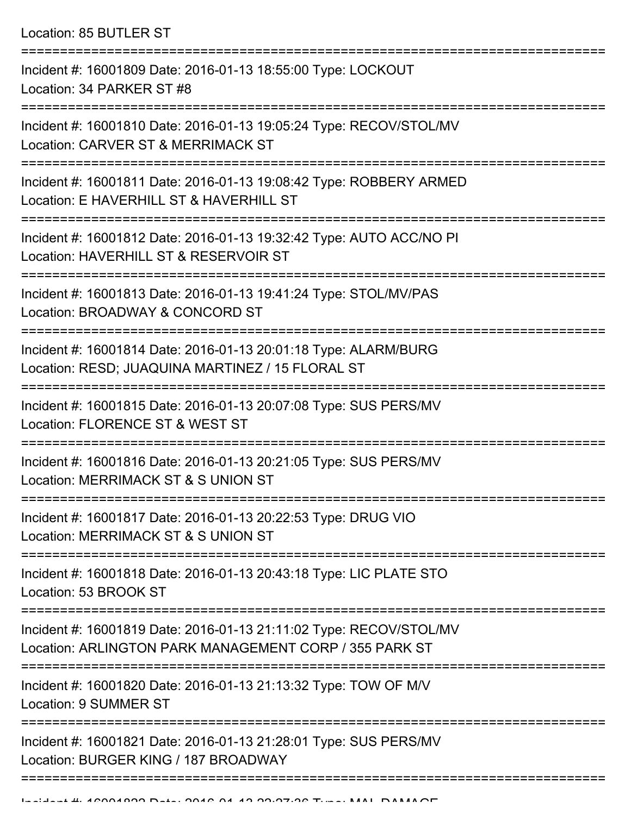Location: 85 BUTLER ST

| Incident #: 16001809 Date: 2016-01-13 18:55:00 Type: LOCKOUT<br>Location: 34 PARKER ST #8                                                          |
|----------------------------------------------------------------------------------------------------------------------------------------------------|
| Incident #: 16001810 Date: 2016-01-13 19:05:24 Type: RECOV/STOL/MV<br>Location: CARVER ST & MERRIMACK ST                                           |
| Incident #: 16001811 Date: 2016-01-13 19:08:42 Type: ROBBERY ARMED<br>Location: E HAVERHILL ST & HAVERHILL ST                                      |
| Incident #: 16001812 Date: 2016-01-13 19:32:42 Type: AUTO ACC/NO PI<br>Location: HAVERHILL ST & RESERVOIR ST                                       |
| Incident #: 16001813 Date: 2016-01-13 19:41:24 Type: STOL/MV/PAS<br>Location: BROADWAY & CONCORD ST                                                |
| Incident #: 16001814 Date: 2016-01-13 20:01:18 Type: ALARM/BURG<br>Location: RESD; JUAQUINA MARTINEZ / 15 FLORAL ST                                |
| Incident #: 16001815 Date: 2016-01-13 20:07:08 Type: SUS PERS/MV<br>Location: FLORENCE ST & WEST ST                                                |
| Incident #: 16001816 Date: 2016-01-13 20:21:05 Type: SUS PERS/MV<br>Location: MERRIMACK ST & S UNION ST                                            |
| Incident #: 16001817 Date: 2016-01-13 20:22:53 Type: DRUG VIO<br>Location: MERRIMACK ST & S UNION ST                                               |
| Incident #: 16001818 Date: 2016-01-13 20:43:18 Type: LIC PLATE STO<br>Location: 53 BROOK ST                                                        |
| ------------------<br>Incident #: 16001819 Date: 2016-01-13 21:11:02 Type: RECOV/STOL/MV<br>Location: ARLINGTON PARK MANAGEMENT CORP / 355 PARK ST |
| Incident #: 16001820 Date: 2016-01-13 21:13:32 Type: TOW OF M/V<br>Location: 9 SUMMER ST                                                           |
| Incident #: 16001821 Date: 2016-01-13 21:28:01 Type: SUS PERS/MV<br>Location: BURGER KING / 187 BROADWAY                                           |
|                                                                                                                                                    |